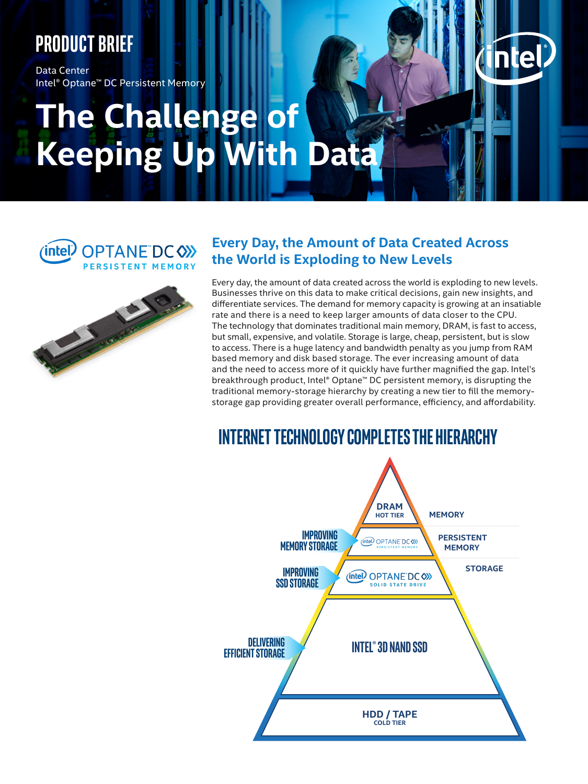# **Product brief**

Data Center Intel® Optane™ DC Persistent Memory

# **The Challenge of Keeping Up With Data**

(intel) OPTANE DC (X) PERSISTENT MEMORY



# **Every Day, the Amount of Data Created Across the World is Exploding to New Levels**

Every day, the amount of data created across the world is exploding to new levels. Businesses thrive on this data to make critical decisions, gain new insights, and differentiate services. The demand for memory capacity is growing at an insatiable rate and there is a need to keep larger amounts of data closer to the CPU. The technology that dominates traditional main memory, DRAM, is fast to access, but small, expensive, and volatile. Storage is large, cheap, persistent, but is slow to access. There is a huge latency and bandwidth penalty as you jump from RAM based memory and disk based storage. The ever increasing amount of data and the need to access more of it quickly have further magnified the gap. Intel's breakthrough product, Intel® Optane™ DC persistent memory, is disrupting the traditional memory-storage hierarchy by creating a new tier to fill the memorystorage gap providing greater overall performance, efficiency, and affordability.

# **iNterNet tecHNoLoGY coMPLeteS tHe HierArcHY**

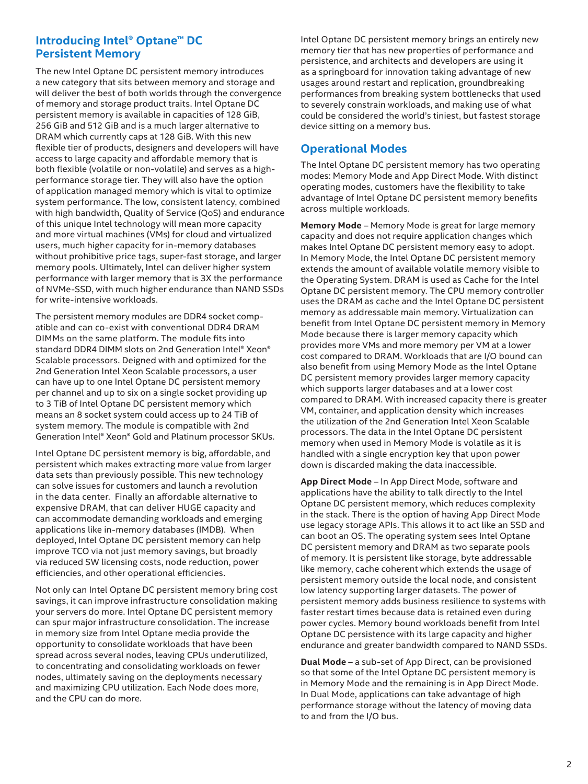### **Introducing Intel® Optane™ DC Persistent Memory**

The new Intel Optane DC persistent memory introduces a new category that sits between memory and storage and will deliver the best of both worlds through the convergence of memory and storage product traits. Intel Optane DC persistent memory is available in capacities of 128 GiB, 256 GiB and 512 GiB and is a much larger alternative to DRAM which currently caps at 128 GiB. With this new flexible tier of products, designers and developers will have access to large capacity and affordable memory that is both flexible (volatile or non-volatile) and serves as a highperformance storage tier. They will also have the option of application managed memory which is vital to optimize system performance. The low, consistent latency, combined with high bandwidth, Quality of Service (QoS) and endurance of this unique Intel technology will mean more capacity and more virtual machines (VMs) for cloud and virtualized users, much higher capacity for in-memory databases without prohibitive price tags, super-fast storage, and larger memory pools. Ultimately, Intel can deliver higher system performance with larger memory that is 3X the performance of NVMe-SSD, with much higher endurance than NAND SSDs for write-intensive workloads.

The persistent memory modules are DDR4 socket compatible and can co-exist with conventional DDR4 DRAM DIMMs on the same platform. The module fits into standard DDR4 DIMM slots on 2nd Generation Intel® Xeon® Scalable processors. Deigned with and optimized for the 2nd Generation Intel Xeon Scalable processors, a user can have up to one Intel Optane DC persistent memory per channel and up to six on a single socket providing up to 3 TiB of Intel Optane DC persistent memory which means an 8 socket system could access up to 24 TiB of system memory. The module is compatible with 2nd Generation Intel® Xeon® Gold and Platinum processor SKUs.

Intel Optane DC persistent memory is big, affordable, and persistent which makes extracting more value from larger data sets than previously possible. This new technology can solve issues for customers and launch a revolution in the data center. Finally an affordable alternative to expensive DRAM, that can deliver HUGE capacity and can accommodate demanding workloads and emerging applications like in-memory databases (IMDB). When deployed, Intel Optane DC persistent memory can help improve TCO via not just memory savings, but broadly via reduced SW licensing costs, node reduction, power efficiencies, and other operational efficiencies.

Not only can Intel Optane DC persistent memory bring cost savings, it can improve infrastructure consolidation making your servers do more. Intel Optane DC persistent memory can spur major infrastructure consolidation. The increase in memory size from Intel Optane media provide the opportunity to consolidate workloads that have been spread across several nodes, leaving CPUs underutilized, to concentrating and consolidating workloads on fewer nodes, ultimately saving on the deployments necessary and maximizing CPU utilization. Each Node does more, and the CPU can do more.

Intel Optane DC persistent memory brings an entirely new memory tier that has new properties of performance and persistence, and architects and developers are using it as a springboard for innovation taking advantage of new usages around restart and replication, groundbreaking performances from breaking system bottlenecks that used to severely constrain workloads, and making use of what could be considered the world's tiniest, but fastest storage device sitting on a memory bus.

### **Operational Modes**

The Intel Optane DC persistent memory has two operating modes: Memory Mode and App Direct Mode. With distinct operating modes, customers have the flexibility to take advantage of Intel Optane DC persistent memory benefits across multiple workloads.

**Memory Mode** – Memory Mode is great for large memory capacity and does not require application changes which makes Intel Optane DC persistent memory easy to adopt. In Memory Mode, the Intel Optane DC persistent memory extends the amount of available volatile memory visible to the Operating System. DRAM is used as Cache for the Intel Optane DC persistent memory. The CPU memory controller uses the DRAM as cache and the Intel Optane DC persistent memory as addressable main memory. Virtualization can benefit from Intel Optane DC persistent memory in Memory Mode because there is larger memory capacity which provides more VMs and more memory per VM at a lower cost compared to DRAM. Workloads that are I/O bound can also benefit from using Memory Mode as the Intel Optane DC persistent memory provides larger memory capacity which supports larger databases and at a lower cost compared to DRAM. With increased capacity there is greater VM, container, and application density which increases the utilization of the 2nd Generation Intel Xeon Scalable processors. The data in the Intel Optane DC persistent memory when used in Memory Mode is volatile as it is handled with a single encryption key that upon power down is discarded making the data inaccessible.

**App Direct Mode** – In App Direct Mode, software and applications have the ability to talk directly to the Intel Optane DC persistent memory, which reduces complexity in the stack. There is the option of having App Direct Mode use legacy storage APIs. This allows it to act like an SSD and can boot an OS. The operating system sees Intel Optane DC persistent memory and DRAM as two separate pools of memory. It is persistent like storage, byte addressable like memory, cache coherent which extends the usage of persistent memory outside the local node, and consistent low latency supporting larger datasets. The power of persistent memory adds business resilience to systems with faster restart times because data is retained even during power cycles. Memory bound workloads benefit from Intel Optane DC persistence with its large capacity and higher endurance and greater bandwidth compared to NAND SSDs.

**Dual Mode** – a sub-set of App Direct, can be provisioned so that some of the Intel Optane DC persistent memory is in Memory Mode and the remaining is in App Direct Mode. In Dual Mode, applications can take advantage of high performance storage without the latency of moving data to and from the I/O bus.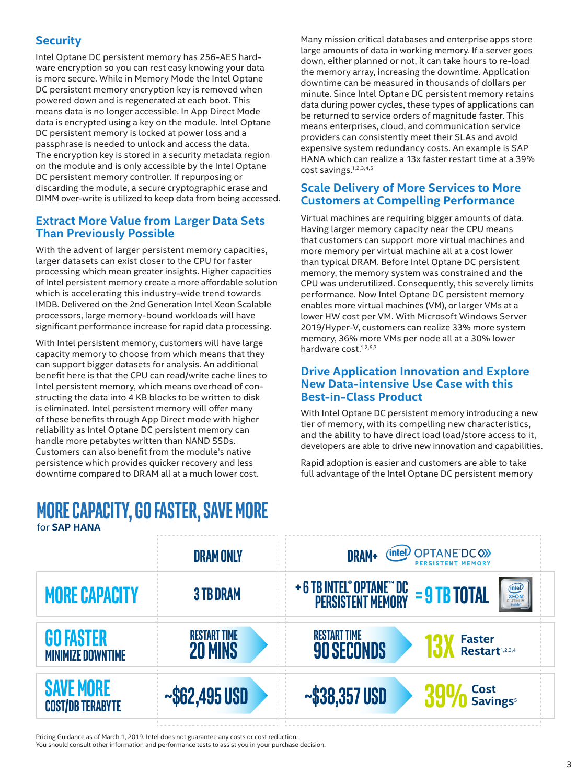## **Security**

Intel Optane DC persistent memory has 256-AES hardware encryption so you can rest easy knowing your data is more secure. While in Memory Mode the Intel Optane DC persistent memory encryption key is removed when powered down and is regenerated at each boot. This means data is no longer accessible. In App Direct Mode data is encrypted using a key on the module. Intel Optane DC persistent memory is locked at power loss and a passphrase is needed to unlock and access the data. The encryption key is stored in a security metadata region on the module and is only accessible by the Intel Optane DC persistent memory controller. If repurposing or discarding the module, a secure cryptographic erase and DIMM over-write is utilized to keep data from being accessed.

### **Extract More Value from Larger Data Sets Than Previously Possible**

With the advent of larger persistent memory capacities, larger datasets can exist closer to the CPU for faster processing which mean greater insights. Higher capacities of Intel persistent memory create a more affordable solution which is accelerating this industry-wide trend towards IMDB. Delivered on the 2nd Generation Intel Xeon Scalable processors, large memory-bound workloads will have significant performance increase for rapid data processing.

With Intel persistent memory, customers will have large capacity memory to choose from which means that they can support bigger datasets for analysis. An additional benefit here is that the CPU can read/write cache lines to Intel persistent memory, which means overhead of constructing the data into 4 KB blocks to be written to disk is eliminated. Intel persistent memory will offer many of these benefits through App Direct mode with higher reliability as Intel Optane DC persistent memory can handle more petabytes written than NAND SSDs. Customers can also benefit from the module's native persistence which provides quicker recovery and less downtime compared to DRAM all at a much lower cost.

# for **SAP HANA More cAPAcitY, Go fASter, SAVe More**

Many mission critical databases and enterprise apps store large amounts of data in working memory. If a server goes down, either planned or not, it can take hours to re-load the memory array, increasing the downtime. Application downtime can be measured in thousands of dollars per minute. Since Intel Optane DC persistent memory retains data during power cycles, these types of applications can be returned to service orders of magnitude faster. This means enterprises, cloud, and communication service providers can consistently meet their SLAs and avoid expensive system redundancy costs. An example is SAP HANA which can realize a 13x faster restart time at a 39% cost savings.1,2,3,4,5

### **Scale Delivery of More Services to More Customers at Compelling Performance**

Virtual machines are requiring bigger amounts of data. Having larger memory capacity near the CPU means that customers can support more virtual machines and more memory per virtual machine all at a cost lower than typical DRAM. Before Intel Optane DC persistent memory, the memory system was constrained and the CPU was underutilized. Consequently, this severely limits performance. Now Intel Optane DC persistent memory enables more virtual machines (VM), or larger VMs at a lower HW cost per VM. With Microsoft Windows Server 2019/Hyper-V, customers can realize 33% more system memory, 36% more VMs per node all at a 30% lower hardware cost.<sup>1,2,6,7</sup>

#### **Drive Application Innovation and Explore New Data-intensive Use Case with this Best-in-Class Product**

With Intel Optane DC persistent memory introducing a new tier of memory, with its compelling new characteristics, and the ability to have direct load load/store access to it, developers are able to drive new innovation and capabilities.

Rapid adoption is easier and customers are able to take full advantage of the Intel Optane DC persistent memory

|                                              | <b>DRAM ONLY</b>                      | (intel) OPTANE DC (X)<br><b>DRAM+</b><br><b>PERSISTENT MEMORY</b>                                                                                             |  |  |
|----------------------------------------------|---------------------------------------|---------------------------------------------------------------------------------------------------------------------------------------------------------------|--|--|
| <b>MORE CAPACITY</b>                         | <b>3 TB DRAM</b>                      | + 6 TB INTEL <sup>®</sup> OPTANE <sup>®</sup> DC = 9 TB TOTAL<br>PERSISTENT MEMORY = 9 TB TOTAL<br><b>(intel)</b><br><b>XEON</b><br><b>PLATINUM</b><br>inside |  |  |
| <b>GO FASTER</b><br><b>MINIMIZE DOWNTIME</b> | <b>RESTART TIME</b><br><b>20 MINS</b> | <b>RESTART TIME</b><br><b>Faster</b><br><b>90 SECONDS</b><br>Restart <sup>1,2,3,4</sup>                                                                       |  |  |
| <b>SAVE MORE</b><br><b>COST/DB TERABYTE</b>  | $~\sim$ \$62,495 USD<br>$\mathbf{1}$  | $390/6$ Cost<br>$390/6$ Savings <sup>5</sup><br>$~-$ \$38,357 USD                                                                                             |  |  |

Pricing Guidance as of March 1, 2019. Intel does not guarantee any costs or cost reduction.

You should consult other information and performance tests to assist you in your purchase decision.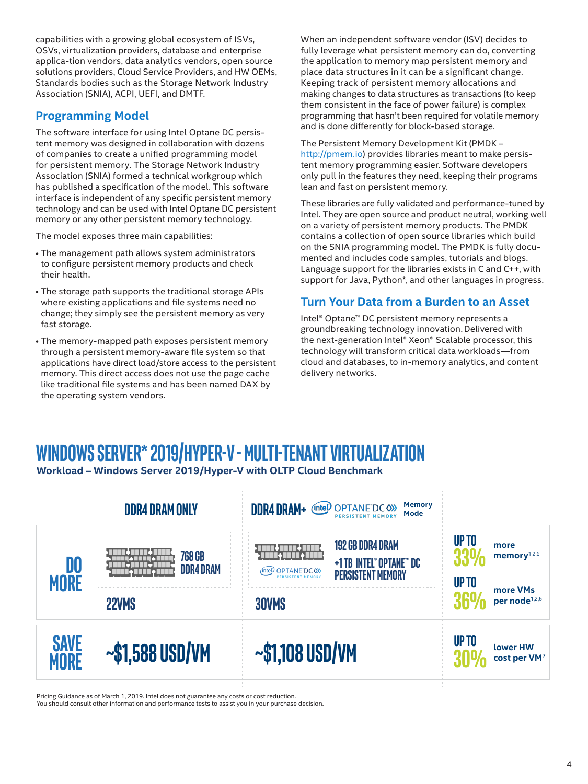capabilities with a growing global ecosystem of ISVs, OSVs, virtualization providers, database and enterprise applica-tion vendors, data analytics vendors, open source solutions providers, Cloud Service Providers, and HW OEMs, Standards bodies such as the Storage Network Industry Association (SNIA), ACPI, UEFI, and DMTF.

### **Programming Model**

The software interface for using Intel Optane DC persistent memory was designed in collaboration with dozens of companies to create a unified programming model for persistent memory. The Storage Network Industry Association (SNIA) formed a technical workgroup which has published a specification of the model. This software interface is independent of any specific persistent memory technology and can be used with Intel Optane DC persistent memory or any other persistent memory technology.

The model exposes three main capabilities:

- The management path allows system administrators to configure persistent memory products and check their health.
- The storage path supports the traditional storage APIs where existing applications and file systems need no change; they simply see the persistent memory as very fast storage.
- The memory-mapped path exposes persistent memory through a persistent memory-aware file system so that applications have direct load/store access to the persistent memory. This direct access does not use the page cache like traditional file systems and has been named DAX by the operating system vendors.

When an independent software vendor (ISV) decides to fully leverage what persistent memory can do, converting the application to memory map persistent memory and place data structures in it can be a significant change. Keeping track of persistent memory allocations and making changes to data structures as transactions (to keep them consistent in the face of power failure) is complex programming that hasn't been required for volatile memory and is done differently for block-based storage.

The Persistent Memory Development Kit (PMDK – http://pmem.jo) provides libraries meant to make persistent memory programming easier. Software developers only pull in the features they need, keeping their programs lean and fast on persistent memory.

These libraries are fully validated and performance-tuned by Intel. They are open source and product neutral, working well on a variety of persistent memory products. The PMDK contains a collection of open source libraries which build on the SNIA programming model. The PMDK is fully documented and includes code samples, tutorials and blogs. Language support for the libraries exists in C and C++, with support for Java, Python\*, and other languages in progress.

### **Turn Your Data from a Burden to an Asset**

Intel® Optane™ DC persistent memory represents a groundbreaking technology innovation.Delivered with the next-generation Intel® Xeon® Scalable processor, this technology will transform critical data workloads—from cloud and databases, to in-memory analytics, and content delivery networks.

# **WiNdoWS SerVer\* 2019/HYPer-V - MuLti-teNANt VirtuALiZAtioN**

**Workload – Windows Server 2019/Hyper-V with OLTP Cloud Benchmark** 



Pricing Guidance as of March 1, 2019. Intel does not guarantee any costs or cost reduction.

You should consult other information and performance tests to assist you in your purchase decision.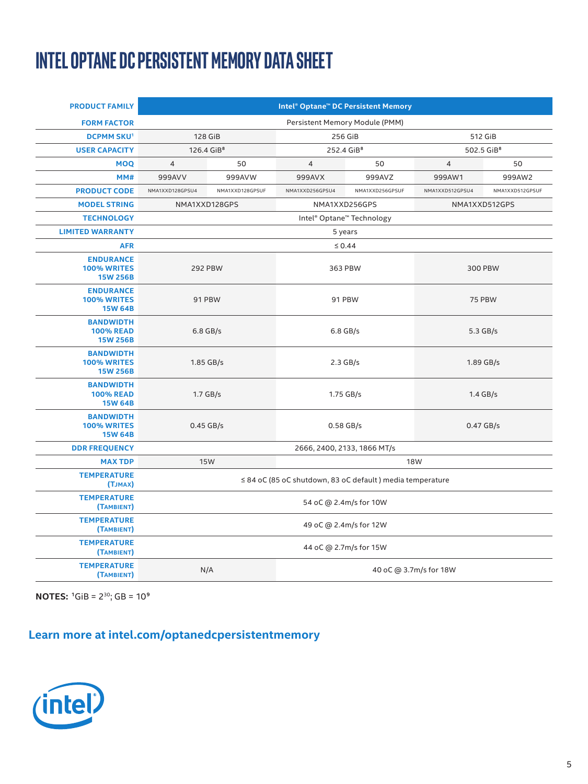# **Intel Optane DC Persistent Memory Data Sheet**

| <b>PRODUCT FAMILY</b>                                     | Intel <sup>®</sup> Optane <sup>™</sup> DC Persistent Memory |                                |                        |                 |                        |                 |  |  |
|-----------------------------------------------------------|-------------------------------------------------------------|--------------------------------|------------------------|-----------------|------------------------|-----------------|--|--|
| <b>FORM FACTOR</b>                                        | Persistent Memory Module (PMM)                              |                                |                        |                 |                        |                 |  |  |
| <b>DCPMM SKU1</b>                                         |                                                             | 128 GiB                        | 256 GiB                |                 | 512 GiB                |                 |  |  |
| <b>USER CAPACITY</b>                                      | 126.4 GiB <sup>8</sup>                                      |                                | 252.4 GiB <sup>8</sup> |                 | 502.5 GiB <sup>8</sup> |                 |  |  |
| <b>MOQ</b>                                                | $\overline{4}$                                              | 50                             | $\overline{4}$         | 50              | $\overline{4}$         | 50              |  |  |
| MM#                                                       | 999AVV                                                      | 999AVW                         | 999AVX                 | 999AVZ          | 999AW1                 | 999AW2          |  |  |
| <b>PRODUCT CODE</b>                                       | NMA1XXD128GPSU4                                             | NMA1XXD128GPSUF                | NMA1XXD256GPSU4        | NMA1XXD256GPSUF | NMA1XXD512GPSU4        | NMA1XXD512GPSUF |  |  |
| <b>MODEL STRING</b>                                       |                                                             | NMA1XXD256GPS<br>NMA1XXD128GPS |                        |                 |                        | NMA1XXD512GPS   |  |  |
| <b>TECHNOLOGY</b>                                         | Intel <sup>®</sup> Optane <sup>™</sup> Technology           |                                |                        |                 |                        |                 |  |  |
| <b>LIMITED WARRANTY</b>                                   | 5 years                                                     |                                |                        |                 |                        |                 |  |  |
| <b>AFR</b>                                                | $\leq 0.44$                                                 |                                |                        |                 |                        |                 |  |  |
| <b>ENDURANCE</b><br><b>100% WRITES</b><br>15W 256B        | <b>292 PBW</b>                                              |                                | 363 PBW                |                 | 300 PBW                |                 |  |  |
| <b>ENDURANCE</b><br><b>100% WRITES</b><br><b>15W 64B</b>  | 91 PBW                                                      |                                | 91 PBW                 |                 | <b>75 PBW</b>          |                 |  |  |
| <b>BANDWIDTH</b><br><b>100% READ</b><br><b>15W 256B</b>   | $6.8$ GB/s                                                  |                                | $6.8$ GB/s             |                 | 5.3 GB/s               |                 |  |  |
| <b>BANDWIDTH</b><br><b>100% WRITES</b><br><b>15W 256B</b> | $1.85$ GB/s                                                 |                                | $2.3$ GB/s             |                 | 1.89 GB/s              |                 |  |  |
| <b>BANDWIDTH</b><br><b>100% READ</b><br><b>15W 64B</b>    | $1.7$ GB/s                                                  |                                | 1.75 GB/s              |                 | $1.4$ GB/s             |                 |  |  |
| <b>BANDWIDTH</b><br><b>100% WRITES</b><br><b>15W 64B</b>  | $0.45$ GB/s                                                 |                                | $0.58$ GB/s            |                 | $0.47$ GB/s            |                 |  |  |
| <b>DDR FREQUENCY</b>                                      | 2666, 2400, 2133, 1866 MT/s                                 |                                |                        |                 |                        |                 |  |  |
| <b>MAX TDP</b>                                            | <b>15W</b><br><b>18W</b>                                    |                                |                        |                 |                        |                 |  |  |
| <b>TEMPERATURE</b><br>(TJMAX)                             | ≤ 84 oC (85 oC shutdown, 83 oC default) media temperature   |                                |                        |                 |                        |                 |  |  |
| <b>TEMPERATURE</b><br>(TAMBIENT)                          | 54 oC @ 2.4m/s for 10W                                      |                                |                        |                 |                        |                 |  |  |
| <b>TEMPERATURE</b><br>(TAMBIENT)                          | 49 oC @ 2.4m/s for 12W                                      |                                |                        |                 |                        |                 |  |  |
| <b>TEMPERATURE</b><br>(TAMBIENT)                          |                                                             | 44 oC @ 2.7m/s for 15W         |                        |                 |                        |                 |  |  |
| <b>TEMPERATURE</b><br>(TAMBIENT)                          | N/A<br>40 oC @ 3.7m/s for 18W                               |                                |                        |                 |                        |                 |  |  |

**NOTES:** <sup>1</sup>GiB = 2<sup>30</sup>; GB = 10<sup>9</sup>

# **Learn more at intel.com/optanedcpersistentmemory**